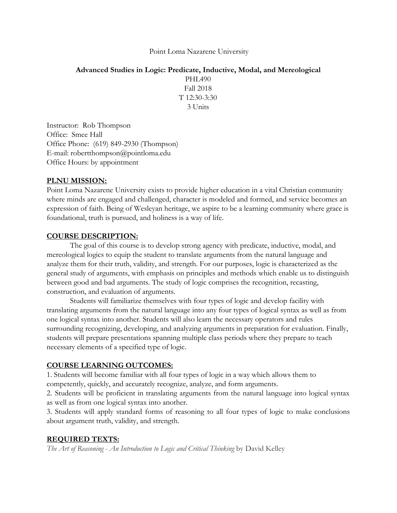### Point Loma Nazarene University

**Advanced Studies in Logic: Predicate, Inductive, Modal, and Mereological** PHL490 Fall 2018  $T$  12:30-3:30 3 Units

Instructor: Rob Thompson Office: Smee Hall Office Phone: (619) 849-2930 (Thompson) E-mail: robertthompson@pointloma.edu Office Hours: by appointment

### **PLNU MISSION:**

Point Loma Nazarene University exists to provide higher education in a vital Christian community where minds are engaged and challenged, character is modeled and formed, and service becomes an expression of faith. Being of Wesleyan heritage, we aspire to be a learning community where grace is foundational, truth is pursued, and holiness is a way of life.

### **COURSE DESCRIPTION:**

The goal of this course is to develop strong agency with predicate, inductive, modal, and mereological logics to equip the student to translate arguments from the natural language and analyze them for their truth, validity, and strength. For our purposes, logic is characterized as the general study of arguments, with emphasis on principles and methods which enable us to distinguish between good and bad arguments. The study of logic comprises the recognition, recasting, construction, and evaluation of arguments.

Students will familiarize themselves with four types of logic and develop facility with translating arguments from the natural language into any four types of logical syntax as well as from one logical syntax into another. Students will also learn the necessary operators and rules surrounding recognizing, developing, and analyzing arguments in preparation for evaluation. Finally, students will prepare presentations spanning multiple class periods where they prepare to teach necessary elements of a specified type of logic.

### **COURSE LEARNING OUTCOMES:**

1. Students will become familiar with all four types of logic in a way which allows them to competently, quickly, and accurately recognize, analyze, and form arguments.

2. Students will be proficient in translating arguments from the natural language into logical syntax as well as from one logical syntax into another.

3. Students will apply standard forms of reasoning to all four types of logic to make conclusions about argument truth, validity, and strength.

### **REQUIRED TEXTS:**

*The Art of Reasoning - An Introduction to Logic and Critical Thinking* by David Kelley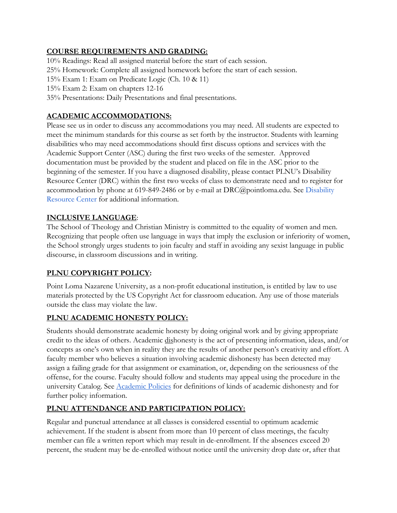# **COURSE REQUIREMENTS AND GRADING:**

10% Readings: Read all assigned material before the start of each session.

25% Homework: Complete all assigned homework before the start of each session.

15% Exam 1: Exam on Predicate Logic (Ch. 10 & 11)

15% Exam 2: Exam on chapters 12-16

35% Presentations: Daily Presentations and final presentations.

## **ACADEMIC ACCOMMODATIONS:**

Please see us in order to discuss any accommodations you may need. All students are expected to meet the minimum standards for this course as set forth by the instructor. Students with learning disabilities who may need accommodations should first discuss options and services with the Academic Support Center (ASC) during the first two weeks of the semester. Approved documentation must be provided by the student and placed on file in the ASC prior to the beginning of the semester. If you have a diagnosed disability, please contact PLNU's Disability Resource Center (DRC) within the first two weeks of class to demonstrate need and to register for accommodation by phone at 619-849-2486 or by e-mail at DRC@pointloma.edu. See [Disability](http://www.pointloma.edu/experience/offices/administrative-offices/academic-advising-office/disability-resource-center) [Resource Center](http://www.pointloma.edu/experience/offices/administrative-offices/academic-advising-office/disability-resource-center) for additional information.

## **INCLUSIVE LANGUAGE**:

The School of Theology and Christian Ministry is committed to the equality of women and men. Recognizing that people often use language in ways that imply the exclusion or inferiority of women, the School strongly urges students to join faculty and staff in avoiding any sexist language in public discourse, in classroom discussions and in writing.

## **PLNU COPYRIGHT POLICY:**

Point Loma Nazarene University, as a non-profit educational institution, is entitled by law to use materials protected by the US Copyright Act for classroom education. Any use of those materials outside the class may violate the law.

## **PLNU ACADEMIC HONESTY POLICY:**

Students should demonstrate academic honesty by doing original work and by giving appropriate credit to the ideas of others. Academic dishonesty is the act of presenting information, ideas, and/or concepts as one's own when in reality they are the results of another person's creativity and effort. A faculty member who believes a situation involving academic dishonesty has been detected may assign a failing grade for that assignment or examination, or, depending on the seriousness of the offense, for the course. Faculty should follow and students may appeal using the procedure in the univ[e](http://catalog.pointloma.edu/content.php?catoid=18&navoid=1278)rsity Catalog. See [Academic Policies](http://catalog.pointloma.edu/content.php?catoid=18&navoid=1278) for definitions of kinds of academic dishonesty and for further policy information.

## **PLNU ATTENDANCE AND PARTICIPATION POLICY:**

Regular and punctual attendance at all classes is considered essential to optimum academic achievement. If the student is absent from more than 10 percent of class meetings, the faculty member can file a written report which may result in de-enrollment. If the absences exceed 20 percent, the student may be de-enrolled without notice until the university drop date or, after that